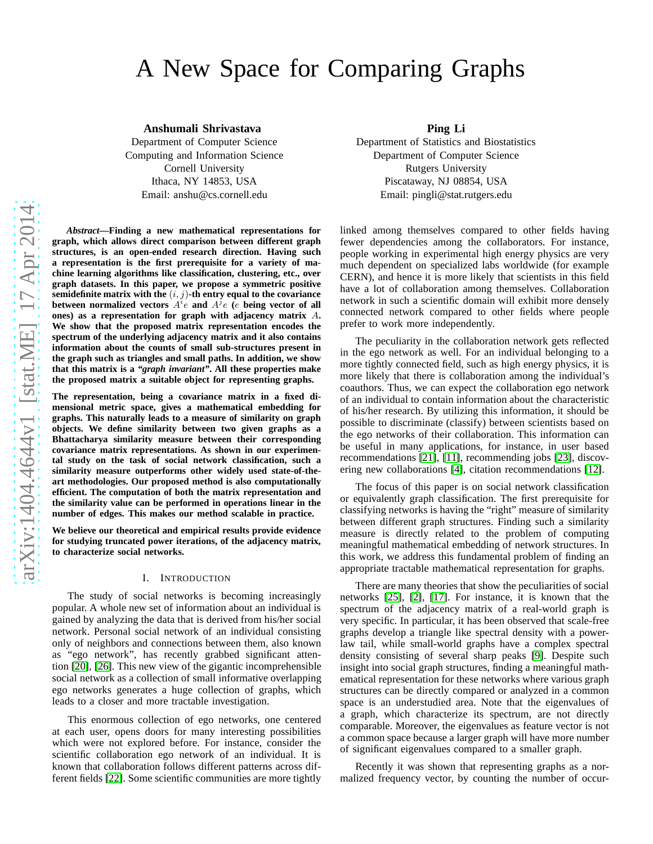# A New Space for Comparing Graphs

**Anshumali Shrivastava**

Department of Computer Science Computing and Information Science Cornell University Ithaca, NY 14853, USA Email: anshu@cs.cornell.edu

*Abstract***—Finding a new mathematical representations for graph, which allows direct comparison between different graph structures, is an open-ended research direction. Having such a representation is the first prerequisite for a variety of machine learning algorithms like classification, clustering, etc., over graph datasets. In this paper, we propose a symmetric positive** semidefinite matrix with the  $(i, j)$ -th entry equal to the covariance between normalized vectors  $A^i e$  and  $A^j e$  (*e* being vector of all **ones) as a representation for graph with adjacency matrix** A**. We show that the proposed matrix representation encodes the spectrum of the underlying adjacency matrix and it also contains information about the counts of small sub-structures present in the graph such as triangles and small paths. In addition, we show that this matrix is a** *"graph invariant"***. All these properties make the proposed matrix a suitable object for representing graphs.**

**The representation, being a covariance matrix in a fixed dimensional metric space, gives a mathematical embedding for graphs. This naturally leads to a measure of similarity on graph objects. We define similarity between two given graphs as a Bhattacharya similarity measure between their corresponding covariance matrix representations. As shown in our experimental study on the task of social network classification, such a similarity measure outperforms other widely used state-of-theart methodologies. Our proposed method is also computationally efficient. The computation of both the matrix representation and the similarity value can be performed in operations linear in the number of edges. This makes our method scalable in practice.**

**We believe our theoretical and empirical results provide evidence for studying truncated power iterations, of the adjacency matrix, to characterize social networks.**

#### I. INTRODUCTION

The study of social networks is becoming increasingly popular. A whole new set of information about an individual is gained by analyzing the data that is derived from his/her social network. Personal social network of an individual consisting only of neighbors and connections between them, also known as "ego network", has recently grabbed significant attention [\[20\]](#page-9-0), [\[26\]](#page-9-1). This new view of the gigantic incomprehensible social network as a collection of small informative overlapping ego networks generates a huge collection of graphs, which leads to a closer and more tractable investigation.

This enormous collection of ego networks, one centered at each user, opens doors for many interesting possibilities which were not explored before. For instance, consider the scientific collaboration ego network of an individual. It is known that collaboration follows different patterns across different fields [\[22\]](#page-9-2). Some scientific communities are more tightly

**Ping Li**

Department of Statistics and Biostatistics Department of Computer Science Rutgers University Piscataway, NJ 08854, USA Email: pingli@stat.rutgers.edu

linked among themselves compared to other fields having fewer dependencies among the collaborators. For instance, people working in experimental high energy physics are very much dependent on specialized labs worldwide (for example CERN), and hence it is more likely that scientists in this field have a lot of collaboration among themselves. Collaboration network in such a scientific domain will exhibit more densely connected network compared to other fields where people prefer to work more independently.

The peculiarity in the collaboration network gets reflected in the ego network as well. For an individual belonging to a more tightly connected field, such as high energy physics, it is more likely that there is collaboration among the individual's coauthors. Thus, we can expect the collaboration ego network of an individual to contain information about the characteristic of his/her research. By utilizing this information, it should be possible to discriminate (classify) between scientists based on the ego networks of their collaboration. This information can be useful in many applications, for instance, in user based recommendations [\[21\]](#page-9-3), [\[11\]](#page-9-4), recommending jobs [\[23\]](#page-9-5), discovering new collaborations [\[4\]](#page-9-6), citation recommendations [\[12\]](#page-9-7).

The focus of this paper is on social network classification or equivalently graph classification. The first prerequisite for classifying networks is having the "right" measure of similarity between different graph structures. Finding such a similarity measure is directly related to the problem of computing meaningful mathematical embedding of network structures. In this work, we address this fundamental problem of finding an appropriate tractable mathematical representation for graphs.

There are many theories that show the peculiarities of social networks [\[25\]](#page-9-8), [\[2\]](#page-9-9), [\[17\]](#page-9-10). For instance, it is known that the spectrum of the adjacency matrix of a real-world graph is very specific. In particular, it has been observed that scale-free graphs develop a triangle like spectral density with a powerlaw tail, while small-world graphs have a complex spectral density consisting of several sharp peaks [\[9\]](#page-9-11). Despite such insight into social graph structures, finding a meaningful mathematical representation for these networks where various graph structures can be directly compared or analyzed in a common space is an understudied area. Note that the eigenvalues of a graph, which characterize its spectrum, are not directly comparable. Moreover, the eigenvalues as feature vector is not a common space because a larger graph will have more number of significant eigenvalues compared to a smaller graph.

Recently it was shown that representing graphs as a normalized frequency vector, by counting the number of occur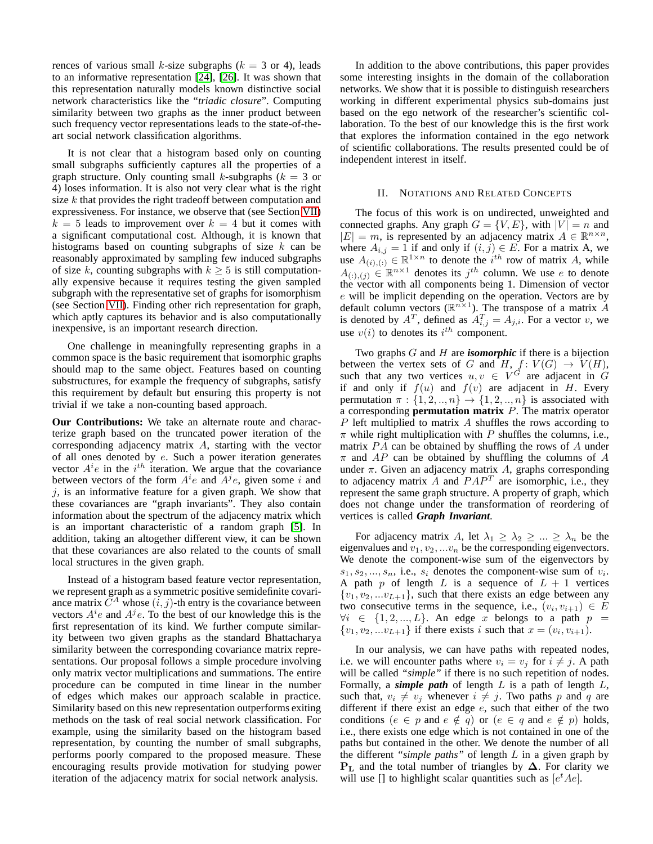rences of various small k-size subgraphs ( $k = 3$  or 4), leads to an informative representation [\[24\]](#page-9-12), [\[26\]](#page-9-1). It was shown that this representation naturally models known distinctive social network characteristics like the "*triadic closure*". Computing similarity between two graphs as the inner product between such frequency vector representations leads to the state-of-theart social network classification algorithms.

It is not clear that a histogram based only on counting small subgraphs sufficiently captures all the properties of a graph structure. Only counting small k-subgraphs ( $k = 3$  or 4) loses information. It is also not very clear what is the right size  $k$  that provides the right tradeoff between computation and expressiveness. For instance, we observe that (see Section [VII\)](#page-8-0)  $k = 5$  leads to improvement over  $k = 4$  but it comes with a significant computational cost. Although, it is known that histograms based on counting subgraphs of size  $k$  can be reasonably approximated by sampling few induced subgraphs of size k, counting subgraphs with  $k \geq 5$  is still computationally expensive because it requires testing the given sampled subgraph with the representative set of graphs for isomorphism (see Section [VII\)](#page-8-0). Finding other rich representation for graph, which aptly captures its behavior and is also computationally inexpensive, is an important research direction.

One challenge in meaningfully representing graphs in a common space is the basic requirement that isomorphic graphs should map to the same object. Features based on counting substructures, for example the frequency of subgraphs, satisfy this requirement by default but ensuring this property is not trivial if we take a non-counting based approach.

**Our Contributions:** We take an alternate route and characterize graph based on the truncated power iteration of the corresponding adjacency matrix A, starting with the vector of all ones denoted by  $e$ . Such a power iteration generates vector  $A^i e$  in the  $i^{th}$  iteration. We argue that the covariance between vectors of the form  $A^i e$  and  $A^j e$ , given some i and  $i$ , is an informative feature for a given graph. We show that these covariances are "graph invariants". They also contain information about the spectrum of the adjacency matrix which is an important characteristic of a random graph [\[5\]](#page-9-13). In addition, taking an altogether different view, it can be shown that these covariances are also related to the counts of small local structures in the given graph.

Instead of a histogram based feature vector representation, we represent graph as a symmetric positive semidefinite covariance matrix  $\tilde{C}^A$  whose  $(i, j)$ -th entry is the covariance between vectors  $A^i e$  and  $A^j e$ . To the best of our knowledge this is the first representation of its kind. We further compute similarity between two given graphs as the standard Bhattacharya similarity between the corresponding covariance matrix representations. Our proposal follows a simple procedure involving only matrix vector multiplications and summations. The entire procedure can be computed in time linear in the number of edges which makes our approach scalable in practice. Similarity based on this new representation outperforms exiting methods on the task of real social network classification. For example, using the similarity based on the histogram based representation, by counting the number of small subgraphs, performs poorly compared to the proposed measure. These encouraging results provide motivation for studying power iteration of the adjacency matrix for social network analysis.

In addition to the above contributions, this paper provides some interesting insights in the domain of the collaboration networks. We show that it is possible to distinguish researchers working in different experimental physics sub-domains just based on the ego network of the researcher's scientific collaboration. To the best of our knowledge this is the first work that explores the information contained in the ego network of scientific collaborations. The results presented could be of independent interest in itself.

#### II. NOTATIONS AND RELATED CONCEPTS

<span id="page-1-0"></span>The focus of this work is on undirected, unweighted and connected graphs. Any graph  $G = \{V, E\}$ , with  $|V| = n$  and  $|E| = m$ , is represented by an adjacency matrix  $A \in \mathbb{R}^{n \times n}$ , where  $A_{i,j} = 1$  if and only if  $(i, j) \in E$ . For a matrix A, we use  $A_{(i), (.)}$   $\in \mathbb{R}^{1 \times n}$  to denote the *i*<sup>th</sup> row of matrix A, while  $A_{(:,),(j)} \in \mathbb{R}^{n \times 1}$  denotes its  $j^{th}$  column. We use e to denote the vector with all components being 1. Dimension of vector e will be implicit depending on the operation. Vectors are by default column vectors ( $\mathbb{R}^{n \times 1}$ ). The transpose of a matrix A is denoted by  $A^T$ , defined as  $A_{i,j}^T = A_{j,i}$ . For a vector v, we use  $v(i)$  to denotes its  $i^{th}$  component.

Two graphs G and H are *isomorphic* if there is a bijection between the vertex sets of G and H,  $f: V(G) \rightarrow V(H)$ , such that any two vertices  $u, v \in V^{\tilde{G}}$  are adjacent in  $\tilde{G}$ if and only if  $f(u)$  and  $f(v)$  are adjacent in H. Every permutation  $\pi : \{1, 2, ..., n\} \rightarrow \{1, 2, ..., n\}$  is associated with a corresponding **permutation matrix** P. The matrix operator  $P$  left multiplied to matrix  $A$  shuffles the rows according to  $\pi$  while right multiplication with P shuffles the columns, i.e., matrix  $PA$  can be obtained by shuffling the rows of  $A$  under  $\pi$  and AP can be obtained by shuffling the columns of A under  $\pi$ . Given an adjacency matrix A, graphs corresponding to adjacency matrix  $\ddot{A}$  and  $PAP^T$  are isomorphic, i.e., they represent the same graph structure. A property of graph, which does not change under the transformation of reordering of vertices is called *Graph Invariant*.

For adjacency matrix A, let  $\lambda_1 \geq \lambda_2 \geq ... \geq \lambda_n$  be the eigenvalues and  $v_1, v_2, \ldots v_n$  be the corresponding eigenvectors. We denote the component-wise sum of the eigenvectors by  $s_1, s_2, \ldots, s_n$ , i.e.,  $s_i$  denotes the component-wise sum of  $v_i$ . A path  $p$  of length  $L$  is a sequence of  $L + 1$  vertices  $\{v_1, v_2, ... v_{L+1}\}$ , such that there exists an edge between any two consecutive terms in the sequence, i.e.,  $(v_i, v_{i+1}) \in E$  $\forall i \in \{1, 2, ..., L\}$ . An edge x belongs to a path  $p =$  $\{v_1, v_2, ... v_{L+1}\}\$  if there exists i such that  $x = (v_i, v_{i+1})$ .

In our analysis, we can have paths with repeated nodes, i.e. we will encounter paths where  $v_i = v_j$  for  $i \neq j$ . A path will be called "simple" if there is no such repetition of nodes. Formally, a *simple path* of length L is a path of length L, such that,  $v_i \neq v_j$  whenever  $i \neq j$ . Two paths p and q are different if there exist an edge  $e$ , such that either of the two conditions  $(e \in p \text{ and } e \notin q)$  or  $(e \in q \text{ and } e \notin p)$  holds, i.e., there exists one edge which is not contained in one of the paths but contained in the other. We denote the number of all the different *"simple paths"* of length L in a given graph by  $P<sub>L</sub>$  and the total number of triangles by  $\Delta$ . For clarity we will use [] to highlight scalar quantities such as  $[e^t A e]$ .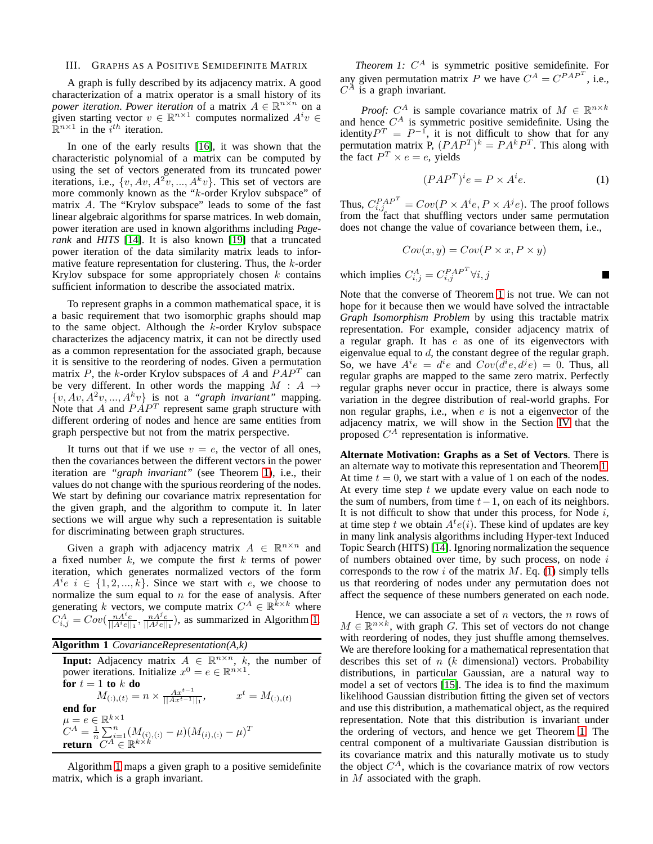# III. GRAPHS AS A POSITIVE SEMIDEFINITE MATRIX

A graph is fully described by its adjacency matrix. A good characterization of a matrix operator is a small history of its *power iteration. Power iteration* of a matrix  $A \in \mathbb{R}^{n \times n}$  on a given starting vector  $v \in \mathbb{R}^{n \times 1}$  computes normalized  $A^i v \in$  $\mathbb{R}^{n \times 1}$  in the  $i^{th}$  iteration.

In one of the early results [\[16\]](#page-9-14), it was shown that the characteristic polynomial of a matrix can be computed by using the set of vectors generated from its truncated power iterations, i.e.,  $\{v, Av, A^2v, ..., A^kv\}$ . This set of vectors are more commonly known as the "k-order Krylov subspace" of matrix A. The "Krylov subspace" leads to some of the fast linear algebraic algorithms for sparse matrices. In web domain, power iteration are used in known algorithms including *Pagerank* and *HITS* [\[14\]](#page-9-15). It is also known [\[19\]](#page-9-16) that a truncated power iteration of the data similarity matrix leads to informative feature representation for clustering. Thus, the  $k$ -order Krylov subspace for some appropriately chosen  $k$  contains sufficient information to describe the associated matrix.

To represent graphs in a common mathematical space, it is a basic requirement that two isomorphic graphs should map to the same object. Although the  $k$ -order Krylov subspace characterizes the adjacency matrix, it can not be directly used as a common representation for the associated graph, because it is sensitive to the reordering of nodes. Given a permutation matrix P, the k-order Krylov subspaces of A and  $PAP<sup>T</sup>$  can be very different. In other words the mapping  $M : A \rightarrow$  $\{v, Av, A^2v, ..., A^kv\}$  is not a *"graph invariant"* mapping. Note that A and  $P\AA P^T$  represent same graph structure with different ordering of nodes and hence are same entities from graph perspective but not from the matrix perspective.

It turns out that if we use  $v = e$ , the vector of all ones, then the covariances between the different vectors in the power iteration are *"graph invariant"* (see Theorem [1\)](#page-2-0), i.e., their values do not change with the spurious reordering of the nodes. We start by defining our covariance matrix representation for the given graph, and the algorithm to compute it. In later sections we will argue why such a representation is suitable for discriminating between graph structures.

Given a graph with adjacency matrix  $A \in \mathbb{R}^{n \times n}$  and a fixed number  $k$ , we compute the first  $k$  terms of power iteration, which generates normalized vectors of the form  $A^i e \, i \in \{1, 2, ..., k\}.$  Since we start with e, we choose to normalize the sum equal to  $n$  for the ease of analysis. After generating k vectors, we compute matrix  $C^A \in \mathbb{R}^{k \times k}$  where  $C_{i,j}^A = Cov(\frac{nA^i e}{||A^i e||_1}, \frac{nA^j e}{||A^j e||_1}),$  as summarized in Algorithm [1.](#page-2-1)

<span id="page-2-1"></span>

| <b>Algorithm 1</b> CovarianceRepresentation $(A, k)$                                                                                                           |
|----------------------------------------------------------------------------------------------------------------------------------------------------------------|
| <b>Input:</b> Adjacency matrix $A \in \mathbb{R}^{n \times n}$ , k, the number of<br>power iterations. Initialize $x^0 = e \in \mathbb{R}^{n \times 1}$ .      |
| for $t=1$ to k do<br>$M_{(:,), (t)} = n \times \frac{Ax^{t-1}}{  Ax^{t-1}  _1},$<br>$x^t = M_{(:,), (t)}$                                                      |
| end for                                                                                                                                                        |
| $\mu = e \in \mathbb{R}^{k \times 1}$<br>$C^A = \frac{1}{n} \sum_{i=1}^n (M_{(i),(:)} - \mu)(M_{(i),(:)} - \mu)^T$<br>return $C^A \in \mathbb{R}^{k \times k}$ |

<span id="page-2-0"></span>Algorithm [1](#page-2-1) maps a given graph to a positive semidefinite matrix, which is a graph invariant.

*Theorem 1:*  $C^A$  is symmetric positive semidefinite. For any given permutation matrix P we have  $C^A = C^{PAP^T}$ , i.e.,  $C^{\tilde{A}}$  is a graph invariant.

*Proof:*  $C^A$  is sample covariance matrix of  $M \in \mathbb{R}^{n \times k}$ and hence  $C^A$  is symmetric positive semidefinite. Using the identity  $P^{T} = P^{-1}$ , it is not difficult to show that for any permutation matrix P,  $(PAP^T)^k = PA^kP^T$ . This along with the fact  $P^T \times e = e$ , yields

<span id="page-2-2"></span>
$$
(PAPT)ie = P \times Aie.
$$
 (1)

Thus,  $C_{i,j}^{PAP} = Cov(P \times A^{i}e, P \times A^{j}e)$ . The proof follows from the fact that shuffling vectors under same permutation does not change the value of covariance between them, i.e.,

$$
Cov(x, y) = Cov(P \times x, P \times y)
$$

which implies  $C_{i,j}^A = C_{i,j}^{PAP^T} \forall i, j$ 

Note that the converse of Theorem [1](#page-2-0) is not true. We can not hope for it because then we would have solved the intractable *Graph Isomorphism Problem* by using this tractable matrix representation. For example, consider adjacency matrix of a regular graph. It has  $e$  as one of its eigenvectors with eigenvalue equal to d, the constant degree of the regular graph. So, we have  $A^i e = d^i e$  and  $Cov(\overline{d}^i e, d^j e) = 0$ . Thus, all regular graphs are mapped to the same zero matrix. Perfectly regular graphs never occur in practice, there is always some variation in the degree distribution of real-world graphs. For non regular graphs, i.e., when  $e$  is not a eigenvector of the adjacency matrix, we will show in the Section [IV](#page-3-0) that the proposed  $C^A$  representation is informative.

**Alternate Motivation: Graphs as a Set of Vectors**. There is an alternate way to motivate this representation and Theorem [1.](#page-2-0) At time  $t = 0$ , we start with a value of 1 on each of the nodes. At every time step  $t$  we update every value on each node to the sum of numbers, from time  $t-1$ , on each of its neighbors. It is not difficult to show that under this process, for Node  $i$ , at time step t we obtain  $A^t e(i)$ . These kind of updates are key in many link analysis algorithms including Hyper-text Induced Topic Search (HITS) [\[14\]](#page-9-15). Ignoring normalization the sequence of numbers obtained over time, by such process, on node  $i$ corresponds to the row  $i$  of the matrix  $M$ . Eq. [\(1\)](#page-2-2) simply tells us that reordering of nodes under any permutation does not affect the sequence of these numbers generated on each node.

Hence, we can associate a set of  $n$  vectors, the  $n$  rows of  $M \in \mathbb{R}^{n \times k}$ , with graph G. This set of vectors do not change with reordering of nodes, they just shuffle among themselves. We are therefore looking for a mathematical representation that describes this set of  $n$  ( $k$  dimensional) vectors. Probability distributions, in particular Gaussian, are a natural way to model a set of vectors [\[15\]](#page-9-17). The idea is to find the maximum likelihood Gaussian distribution fitting the given set of vectors and use this distribution, a mathematical object, as the required representation. Note that this distribution is invariant under the ordering of vectors, and hence we get Theorem [1.](#page-2-0) The central component of a multivariate Gaussian distribution is its covariance matrix and this naturally motivate us to study the object  $C^A$ , which is the covariance matrix of row vectors in M associated with the graph.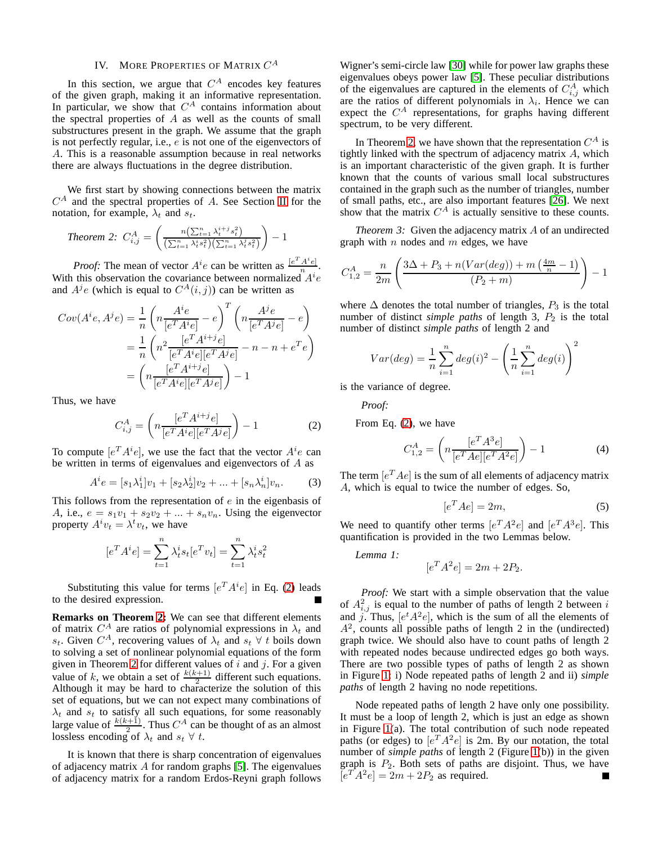# IV. MORE PROPERTIES OF MATRIX  $C^A$

<span id="page-3-0"></span>In this section, we argue that  $C^A$  encodes key features of the given graph, making it an informative representation. In particular, we show that  $C^A$  contains information about the spectral properties of  $A$  as well as the counts of small substructures present in the graph. We assume that the graph is not perfectly regular, i.e., e is not one of the eigenvectors of A. This is a reasonable assumption because in real networks there are always fluctuations in the degree distribution.

We first start by showing connections between the matrix  $C^{A}$  and the spectral properties of A. See Section [II](#page-1-0) for the notation, for example,  $\lambda_t$  and  $s_t$ .

<span id="page-3-2"></span>Theorem 2: 
$$
C_{i,j}^A = \left(\frac{n\left(\sum_{t=1}^n \lambda_t^{i+j} s_t^2\right)}{\left(\sum_{t=1}^n \lambda_t^{i} s_t^2\right)\left(\sum_{t=1}^n \lambda_t^{j} s_t^2\right)}\right) - 1
$$

*Proof:* The mean of vector  $A^i e$  can be written as  $\frac{[e^T A^i e]}{n}$  $\frac{A[e]}{n}$ . With this observation the covariance between normalized  $A^{i}e$ and  $A^{j}e$  (which is equal to  $C^{A}(i, j)$ ) can be written as

$$
Cov(A^i e, A^j e) = \frac{1}{n} \left( n \frac{A^i e}{[e^T A^i e]} - e \right)^T \left( n \frac{A^j e}{[e^T A^j e]} - e \right)
$$

$$
= \frac{1}{n} \left( n^2 \frac{[e^T A^i e][e^T A^j e]}{[e^T A^i e][e^T A^j e]} - n - n + e^T e \right)
$$

$$
= \left( n \frac{[e^T A^i e][e^T A^j e]}{[e^T A^i e][e^T A^j e]} \right) - 1
$$

Thus, we have

<span id="page-3-1"></span>
$$
C_{i,j}^{A} = \left( n \frac{[e^T A^{i+j} e]}{[e^T A^i e][e^T A^j e]} \right) - 1
$$
 (2)

To compute  $[e^T A^i e]$ , we use the fact that the vector  $A^i e$  can be written in terms of eigenvalues and eigenvectors of A as

$$
A^{i}e = [s_{1}\lambda_{1}^{i}]v_{1} + [s_{2}\lambda_{2}^{i}]v_{2} + ... + [s_{n}\lambda_{n}^{i}]v_{n}.
$$
 (3)

This follows from the representation of  $e$  in the eigenbasis of A, i.e.,  $e = s_1v_1 + s_2v_2 + ... + s_nv_n$ . Using the eigenvector property  $A^i v_t = \lambda^t v_t$ , we have

$$
[e^T A^i e] = \sum_{t=1}^n \lambda_t^i s_t [e^T v_t] = \sum_{t=1}^n \lambda_t^i s_t^2
$$

Substituting this value for terms  $[e^T A^i e]$  in Eq. [\(2\)](#page-3-1) leads to the desired expression.

**Remarks on Theorem [2:](#page-3-2)** We can see that different elements of matrix  $C^A$  are ratios of polynomial expressions in  $\lambda_t$  and s<sub>t</sub>. Given  $C^A$ , recovering values of  $\lambda_t$  and  $s_t \forall t$  boils down to solving a set of nonlinear polynomial equations of the form given in Theorem [2](#page-3-2) for different values of  $i$  and  $j$ . For a given value of k, we obtain a set of  $\frac{k(k+1)}{2}$  different such equations. Although it may be hard to characterize the solution of this set of equations, but we can not expect many combinations of  $\lambda_t$  and  $s_t$  to satisfy all such equations, for some reasonably large value of  $\frac{k(k+1)}{2}$ . Thus  $C^A$  can be thought of as an almost lossless encoding of  $\lambda_t$  and  $s_t \forall t$ .

It is known that there is sharp concentration of eigenvalues of adjacency matrix A for random graphs [\[5\]](#page-9-13). The eigenvalues of adjacency matrix for a random Erdos-Reyni graph follows

Wigner's semi-circle law [\[30\]](#page-9-18) while for power law graphs these eigenvalues obeys power law [\[5\]](#page-9-13). These peculiar distributions of the eigenvalues are captured in the elements of  $C_{i,j}^A$  which are the ratios of different polynomials in  $\lambda_i$ . Hence we can expect the  $C^A$  representations, for graphs having different spectrum, to be very different.

In Theorem [2,](#page-3-2) we have shown that the representation  $C^A$  is tightly linked with the spectrum of adjacency matrix A, which is an important characteristic of the given graph. It is further known that the counts of various small local substructures contained in the graph such as the number of triangles, number of small paths, etc., are also important features [\[26\]](#page-9-1). We next show that the matrix  $C^A$  is actually sensitive to these counts.

<span id="page-3-6"></span>*Theorem 3:* Given the adjacency matrix A of an undirected graph with  $n$  nodes and  $m$  edges, we have

$$
C_{1,2}^{A} = \frac{n}{2m} \left( \frac{3\Delta + P_3 + n(Var(deg)) + m\left(\frac{4m}{n} - 1\right)}{(P_2 + m)} \right) - 1
$$

where  $\Delta$  denotes the total number of triangles,  $P_3$  is the total number of distinct *simple paths* of length 3,  $P_2$  is the total number of distinct *simple paths* of length 2 and

$$
Var(deg) = \frac{1}{n} \sum_{i=1}^{n} deg(i)^{2} - \left(\frac{1}{n} \sum_{i=1}^{n} deg(i)\right)^{2}
$$

is the variance of degree.

*Proof:*

From Eq. [\(2\)](#page-3-1), we have

<span id="page-3-5"></span>
$$
C_{1,2}^{A} = \left( n \frac{[e^T A^3 e]}{[e^T A e][e^T A^2 e]} \right) - 1 \tag{4}
$$

The term  $[e^T Ae]$  is the sum of all elements of adjacency matrix A, which is equal to twice the number of edges. So,

<span id="page-3-3"></span>
$$
[e^T A e] = 2m,\t\t(5)
$$

We need to quantify other terms  $[e^T A^2 e]$  and  $[e^T A^3 e]$ . This quantification is provided in the two Lemmas below.

*Lemma 1:*

$$
[e^T A^2 e] = 2m + 2P_2.
$$

*Proof:* We start with a simple observation that the value of  $A_{i,j}^2$  is equal to the number of paths of length 2 between i and j. Thus,  $[e^t A^2 e]$ , which is the sum of all the elements of  $A<sup>2</sup>$ , counts all possible paths of length 2 in the (undirected) graph twice. We should also have to count paths of length 2 with repeated nodes because undirected edges go both ways. There are two possible types of paths of length 2 as shown in Figure [1:](#page-4-0) i) Node repeated paths of length 2 and ii) *simple paths* of length 2 having no node repetitions.

<span id="page-3-4"></span>Node repeated paths of length 2 have only one possibility. It must be a loop of length 2, which is just an edge as shown in Figure [1\(](#page-4-0)a). The total contribution of such node repeated paths (or edges) to  $[e^T A^2 e]$  is 2m. By our notation, the total number of *simple paths* of length 2 (Figure [1\(](#page-4-0)b)) in the given graph is  $P_2$ . Both sets of paths are disjoint. Thus, we have  $[e^T A^2 e] = 2m + 2P_2$  as required.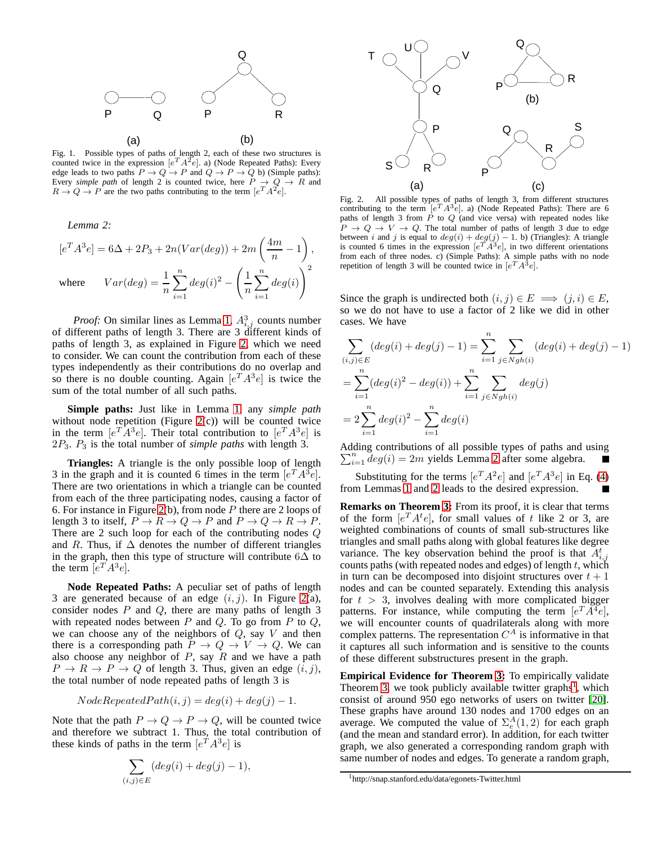

<span id="page-4-0"></span>Fig. 1. Possible types of paths of length 2, each of these two structures is counted twice in the expression  $[e^T A^2 e]$ . a) (Node Repeated Paths): Every edge leads to two paths  $P \to Q \to P$  and  $Q \to P \to Q$  b) (Simple paths): Every *simple path* of length 2 is counted twice, here  $P \rightarrow Q \rightarrow R$  and  $R \to Q \to P$  are the two paths contributing to the term  $[e^T A^2 e]$ .

*Lemma 2:*

$$
[eT A3e] = 6\Delta + 2P3 + 2n(Var(deg)) + 2m\left(\frac{4m}{n} - 1\right),
$$
  
where 
$$
Var(deg) = \frac{1}{n} \sum_{i=1}^{n} deg(i)2 - \left(\frac{1}{n} \sum_{i=1}^{n} deg(i)\right)2
$$

*Proof:* On similar lines as Lemma [1,](#page-3-3)  $A_{i,j}^3$  counts number of different paths of length 3. There are 3 different kinds of paths of length 3, as explained in Figure [2,](#page-4-1) which we need to consider. We can count the contribution from each of these types independently as their contributions do no overlap and so there is no double counting. Again  $[e^T A^3 e]$  is twice the sum of the total number of all such paths.

**Simple paths:** Just like in Lemma [1,](#page-3-3) any *simple path* without node repetition (Figure [2\(](#page-4-1)c)) will be counted twice in the term  $[e^T A^3 e]$ . Their total contribution to  $[e^T A^3 e]$  is 2P3. P<sup>3</sup> is the total number of *simple paths* with length 3.

**Triangles:** A triangle is the only possible loop of length 3 in the graph and it is counted 6 times in the term  $[e^T A^3 e]$ . There are two orientations in which a triangle can be counted from each of the three participating nodes, causing a factor of 6. For instance in Figure [2\(](#page-4-1)b), from node  $P$  there are 2 loops of length 3 to itself,  $P \to R \to Q \to P$  and  $P \to Q \to R \to P$ . There are 2 such loop for each of the contributing nodes Q and R. Thus, if  $\Delta$  denotes the number of different triangles in the graph, then this type of structure will contribute  $6\Delta$  to the term  $\left[e^T A^3 e\right]$ .

**Node Repeated Paths:** A peculiar set of paths of length 3 are generated because of an edge  $(i, j)$ . In Figure [2\(](#page-4-1)a), consider nodes  $P$  and  $Q$ , there are many paths of length 3 with repeated nodes between  $P$  and  $Q$ . To go from  $P$  to  $Q$ , we can choose any of the neighbors of  $Q$ , say  $V$  and then there is a corresponding path  $P \to Q \to V \to Q$ . We can also choose any neighbor of  $P$ , say  $R$  and we have a path  $P \rightarrow R \rightarrow P \rightarrow Q$  of length 3. Thus, given an edge  $(i, j)$ , the total number of node repeated paths of length 3 is

$$
NodeRepeatedPath(i, j) = deg(i) + deg(j) - 1.
$$

Note that the path  $P \to Q \to P \to Q$ , will be counted twice and therefore we subtract 1. Thus, the total contribution of these kinds of paths in the term  $[e^T A^3 e]$  is

$$
\sum_{(i,j)\in E} (deg(i) + deg(j) - 1),
$$



<span id="page-4-1"></span>Fig. 2. All possible types of paths of length 3, from different structures contributing to the term  $[e^T A^3 e]$ . a) (Node Repeated Paths): There are 6 paths of length 3 from  $P$  to  $Q$  (and vice versa) with repeated nodes like  $\overline{P} \rightarrow Q \rightarrow V \rightarrow Q$ . The total number of paths of length 3 due to edge between i and j is equal to  $deg(i) + deg(j) - 1$ . b) (Triangles): A triangle is counted 6 times in the expression  $[e^{T}A^{3}e]$ , in two different orientations from each of three nodes. c) (Simple Paths): A simple paths with no node repetition of length 3 will be counted twice in  $[e^T A^3 e]$ .

Since the graph is undirected both  $(i, j) \in E \implies (j, i) \in E$ , so we do not have to use a factor of 2 like we did in other cases. We have

$$
\sum_{(i,j)\in E} (deg(i) + deg(j) - 1) = \sum_{i=1}^{n} \sum_{j \in Ngh(i)} (deg(i) + deg(j) - 1)
$$
  
= 
$$
\sum_{i=1}^{n} (deg(i)^{2} - deg(i)) + \sum_{i=1}^{n} \sum_{j \in Ngh(i)} deg(j)
$$
  
= 
$$
2 \sum_{i=1}^{n} deg(i)^{2} - \sum_{i=1}^{n} deg(i)
$$

Adding contributions of all possible types of paths and usin g  $\sum_{i=1}^{n} deg(i) = 2m$  $\sum_{i=1}^{n} deg(i) = 2m$  $\sum_{i=1}^{n} deg(i) = 2m$  yields Lemma 2 after some algebra.

Substituting for the terms  $[e^T A^2 e]$  and  $[e^T A^3 e]$  in Eq. [\(4\)](#page-3-5) from Lemmas [1](#page-3-3) and [2](#page-3-4) leads to the desired expression.

**Remarks on Theorem [3:](#page-3-6)** From its proof, it is clear that terms of the form  $[e^T A^t e]$ , for small values of t like 2 or 3, are weighted combinations of counts of small sub-structures like triangles and small paths along with global features like degree variance. The key observation behind the proof is that  $A_{i,j}^t$ counts paths (with repeated nodes and edges) of length  $t$ , which in turn can be decomposed into disjoint structures over  $t + 1$ nodes and can be counted separately. Extending this analysis for  $t > 3$ , involves dealing with more complicated bigger patterns. For instance, while computing the term  $[e^T A^4 e]$ , we will encounter counts of quadrilaterals along with more complex patterns. The representation  $C^A$  is informative in that it captures all such information and is sensitive to the counts of these different substructures present in the graph.

**Empirical Evidence for Theorem [3:](#page-3-6)** To empirically validate Theorem [3,](#page-3-6) we took publicly available twitter graphs<sup>[1](#page-4-2)</sup>, which consist of around 950 ego networks of users on twitter [\[20\]](#page-9-0). These graphs have around 130 nodes and 1700 edges on an average. We computed the value of  $\Sigma_e^A(1,2)$  for each graph (and the mean and standard error). In addition, for each twitter graph, we also generated a corresponding random graph with same number of nodes and edges. To generate a random graph,

<span id="page-4-2"></span><sup>1</sup>http://snap.stanford.edu/data/egonets-Twitter.html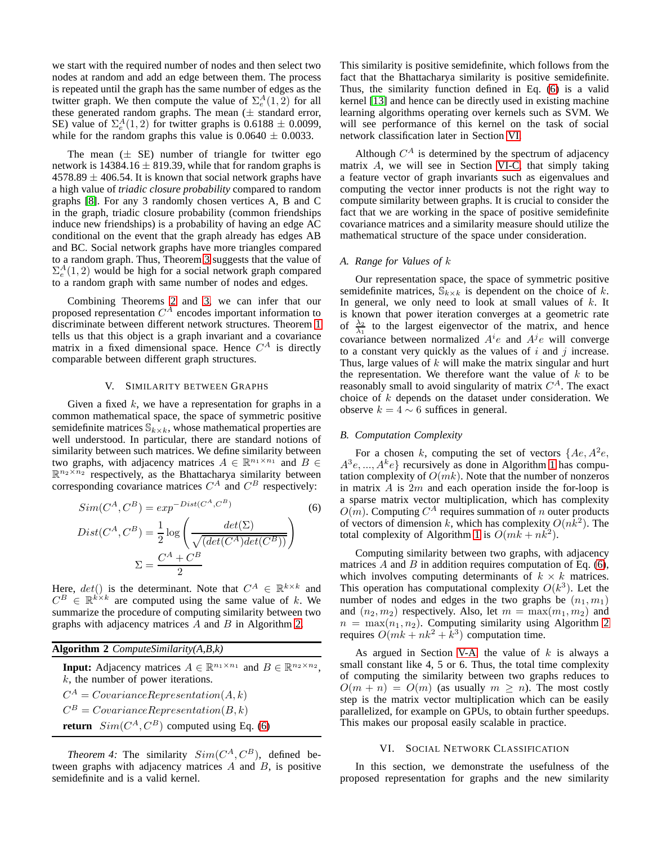we start with the required number of nodes and then select two nodes at random and add an edge between them. The process is repeated until the graph has the same number of edges as the twitter graph. We then compute the value of  $\Sigma_e^A(1,2)$  for all these generated random graphs. The mean  $(\pm$  standard error, SE) value of  $\Sigma_e^A(1,2)$  for twitter graphs is 0.6188  $\pm$  0.0099, while for the random graphs this value is  $0.0640 \pm 0.0033$ .

The mean  $(\pm$  SE) number of triangle for twitter ego network is  $14384.16 \pm 819.39$ , while that for random graphs is  $4578.89 \pm 406.54$ . It is known that social network graphs have a high value of *triadic closure probability* compared to random graphs [\[8\]](#page-9-19). For any 3 randomly chosen vertices A, B and C in the graph, triadic closure probability (common friendships induce new friendships) is a probability of having an edge AC conditional on the event that the graph already has edges AB and BC. Social network graphs have more triangles compared to a random graph. Thus, Theorem [3](#page-3-6) suggests that the value of  $\Sigma_e^A(1,2)$  would be high for a social network graph compared to a random graph with same number of nodes and edges.

Combining Theorems [2](#page-3-2) and [3,](#page-3-6) we can infer that our proposed representation  $C^A$  encodes important information to discriminate between different network structures. Theorem [1](#page-2-0) tells us that this object is a graph invariant and a covariance matrix in a fixed dimensional space. Hence  $C^A$  is directly comparable between different graph structures.

#### V. SIMILARITY BETWEEN GRAPHS

Given a fixed  $k$ , we have a representation for graphs in a common mathematical space, the space of symmetric positive semidefinite matrices  $\mathbb{S}_{k\times k}$ , whose mathematical properties are well understood. In particular, there are standard notions of similarity between such matrices. We define similarity between two graphs, with adjacency matrices  $A \in \mathbb{R}^{n_1 \times n_1}$  and  $B \in$  $\mathbb{R}^{n_2 \times n_2}$  respectively, as the Bhattacharya similarity between corresponding covariance matrices  $C^A$  and  $C^B$  respectively:

$$
Sim(C^{A}, C^{B}) = exp^{-Dist(C^{A}, C^{B})}
$$
\n
$$
Dist(C^{A}, C^{B}) = \frac{1}{2} log\left(\frac{det(\Sigma)}{\sqrt{(det(C^{A})det(C^{B}))}}\right)
$$
\n
$$
\Sigma = \frac{C^{A} + C^{B}}{2}
$$
\n(6)

Here,  $det()$  is the determinant. Note that  $C^A \in \mathbb{R}^{k \times k}$  and  $C^B \in \mathbb{R}^{k \times k}$  are computed using the same value of k. We summarize the procedure of computing similarity between two graphs with adjacency matrices  $A$  and  $B$  in Algorithm [2.](#page-5-0)

<span id="page-5-0"></span>

| Algorithm 2 $ComputeSimilarity(A, B, k)$                                                                                                                |
|---------------------------------------------------------------------------------------------------------------------------------------------------------|
| <b>Input:</b> Adjacency matrices $A \in \mathbb{R}^{n_1 \times n_1}$ and $B \in \mathbb{R}^{n_2 \times n_2}$ ,<br>$k$ , the number of power iterations. |
| $C^A = Covariance Representation(A, k)$                                                                                                                 |
| $C^B = Covariance Representation(B, k)$                                                                                                                 |
| <b>return</b> $Sim(CA, CB)$ computed using Eq. (6)                                                                                                      |

*Theorem 4:* The similarity  $Sim(C<sup>A</sup>, C<sup>B</sup>)$ , defined between graphs with adjacency matrices  $A$  and  $B$ , is positive semidefinite and is a valid kernel.

This similarity is positive semidefinite, which follows from the fact that the Bhattacharya similarity is positive semidefinite. Thus, the similarity function defined in Eq. [\(6\)](#page-5-1) is a valid kernel [\[13\]](#page-9-20) and hence can be directly used in existing machine learning algorithms operating over kernels such as SVM. We will see performance of this kernel on the task of social network classification later in Section [VI.](#page-5-2)

Although  $C^A$  is determined by the spectrum of adjacency matrix A, we will see in Section [VI-C,](#page-7-0) that simply taking a feature vector of graph invariants such as eigenvalues and computing the vector inner products is not the right way to compute similarity between graphs. It is crucial to consider the fact that we are working in the space of positive semidefinite covariance matrices and a similarity measure should utilize the mathematical structure of the space under consideration.

#### <span id="page-5-3"></span>*A. Range for Values of* k

Our representation space, the space of symmetric positive semidefinite matrices,  $\mathbb{S}_{k \times k}$  is dependent on the choice of k. In general, we only need to look at small values of  $k$ . It is known that power iteration converges at a geometric rate of  $\frac{\lambda_2}{\lambda_1}$  to the largest eigenvector of the matrix, and hence covariance between normalized  $A^i e$  and  $A^j e$  will converge to a constant very quickly as the values of  $i$  and  $j$  increase. Thus, large values of  $k$  will make the matrix singular and hurt the representation. We therefore want the value of  $k$  to be reasonably small to avoid singularity of matrix  $C^A$ . The exact choice of k depends on the dataset under consideration. We observe  $k = 4 \sim 6$  suffices in general.

#### <span id="page-5-4"></span>*B. Computation Complexity*

For a chosen k, computing the set of vectors {Ae, A<sup>2</sup> e,  $A^{3}e,..., A^{k}e$ } recursively as done in Algorithm [1](#page-2-1) has computation complexity of  $O(mk)$ . Note that the number of nonzeros in matrix  $A$  is  $2m$  and each operation inside the for-loop is a sparse matrix vector multiplication, which has complexity  $O(m)$ . Computing  $C^A$  requires summation of n outer products of vectors of dimension k, which has complexity  $O(n\bar{k}^2)$ . The total complexity of Algorithm [1](#page-2-1) is  $O(mk + nk^2)$ .

<span id="page-5-1"></span>Computing similarity between two graphs, with adjacency matrices  $A$  and  $B$  in addition requires computation of Eq. [\(6\)](#page-5-1), which involves computing determinants of  $k \times k$  matrices. This operation has computational complexity  $O(k^3)$ . Let the number of nodes and edges in the two graphs be  $(n_1, m_1)$ and  $(n_2, m_2)$  respectively. Also, let  $m = \max(m_1, m_2)$  and  $n = \max(n_1, n_2)$ . Computing similarity using Algorithm [2](#page-5-0) requires  $O(mk + nk^2 + k^3)$  computation time.

As argued in Section [V-A,](#page-5-3) the value of  $k$  is always a small constant like 4, 5 or 6. Thus, the total time complexity of computing the similarity between two graphs reduces to  $O(m + n) = O(m)$  (as usually  $m \geq n$ ). The most costly step is the matrix vector multiplication which can be easily parallelized, for example on GPUs, to obtain further speedups. This makes our proposal easily scalable in practice.

### VI. SOCIAL NETWORK CLASSIFICATION

<span id="page-5-2"></span>In this section, we demonstrate the usefulness of the proposed representation for graphs and the new similarity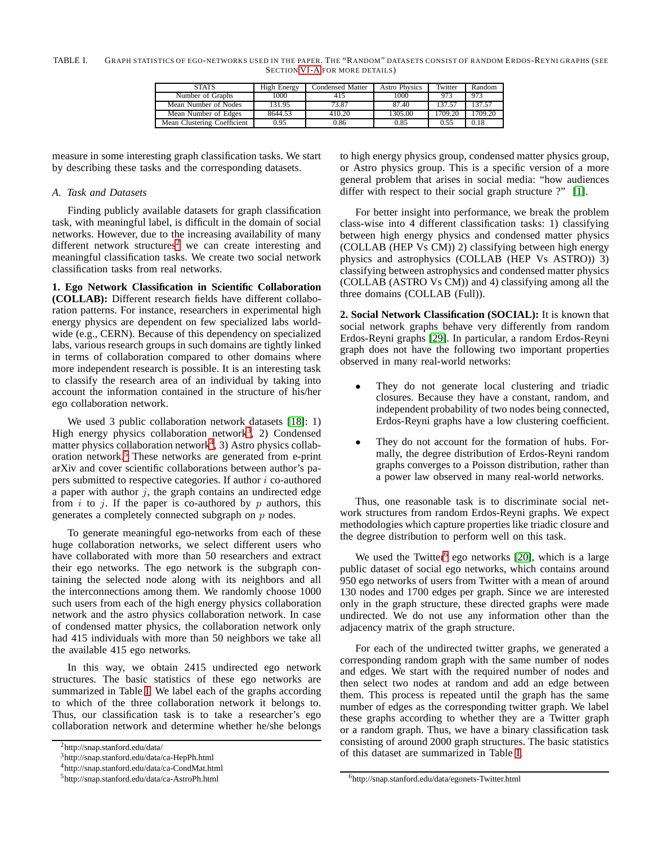<span id="page-6-5"></span>TABLE I. GRAPH STATISTICS OF EGO-NETWORKS USED IN THE PAPER. THE "RANDOM" DATASETS CONSIST OF RANDOM ERDOS-REYNI GRAPHS (SEE SECTION [VI-A](#page-6-0) FOR MORE DETAILS)

| <b>STATS</b>                | High Energy | Condensed Matter | <b>Astro Physics</b> | Twitter | Random  |
|-----------------------------|-------------|------------------|----------------------|---------|---------|
| Number of Graphs            | 1000        | 415              | 1000                 | 973     | 973     |
| Mean Number of Nodes        | 131.95      | 73.87            | 87.40                | 137.57  | 137.57  |
| Mean Number of Edges        | 8644.53     | 410.20           | 1305.00              | 1709.20 | 1709.20 |
| Mean Clustering Coefficient | 0.95        | 0.86             | 0.85                 | 0.55    | 0.18    |

measure in some interesting graph classification tasks. We start by describing these tasks and the corresponding datasets.

# <span id="page-6-0"></span>*A. Task and Datasets*

Finding publicly available datasets for graph classification task, with meaningful label, is difficult in the domain of social networks. However, due to the increasing availability of many different network structures<sup>[2](#page-6-1)</sup> we can create interesting and meaningful classification tasks. We create two social network classification tasks from real networks.

**1. Ego Network Classification in Scientific Collaboration (COLLAB):** Different research fields have different collaboration patterns. For instance, researchers in experimental high energy physics are dependent on few specialized labs worldwide (e.g., CERN). Because of this dependency on specialized labs, various research groups in such domains are tightly linked in terms of collaboration compared to other domains where more independent research is possible. It is an interesting task to classify the research area of an individual by taking into account the information contained in the structure of his/her ego collaboration network.

We used 3 public collaboration network datasets [\[18\]](#page-9-21): 1) High energy physics collaboration network<sup>[3](#page-6-2)</sup>, 2) Condensed matter physics collaboration network<sup>[4](#page-6-3)</sup>, 3) Astro physics collaboration network.[5](#page-6-4) These networks are generated from e-print arXiv and cover scientific collaborations between author's papers submitted to respective categories. If author  $i$  co-authored a paper with author  $j$ , the graph contains an undirected edge from i to j. If the paper is co-authored by  $p$  authors, this generates a completely connected subgraph on  $p$  nodes.

To generate meaningful ego-networks from each of these huge collaboration networks, we select different users who have collaborated with more than 50 researchers and extract their ego networks. The ego network is the subgraph containing the selected node along with its neighbors and all the interconnections among them. We randomly choose 1000 such users from each of the high energy physics collaboration network and the astro physics collaboration network. In case of condensed matter physics, the collaboration network only had 415 individuals with more than 50 neighbors we take all the available 415 ego networks.

In this way, we obtain 2415 undirected ego network structures. The basic statistics of these ego networks are summarized in Table [I.](#page-6-5) We label each of the graphs according to which of the three collaboration network it belongs to. Thus, our classification task is to take a researcher's ego collaboration network and determine whether he/she belongs to high energy physics group, condensed matter physics group, or Astro physics group. This is a specific version of a more general problem that arises in social media: "how audiences differ with respect to their social graph structure ?" [\[1\]](#page-9-22).

For better insight into performance, we break the problem class-wise into 4 different classification tasks: 1) classifying between high energy physics and condensed matter physics (COLLAB (HEP Vs CM)) 2) classifying between high energy physics and astrophysics (COLLAB (HEP Vs ASTRO)) 3) classifying between astrophysics and condensed matter physics (COLLAB (ASTRO Vs CM)) and 4) classifying among all the three domains (COLLAB (Full)).

**2. Social Network Classification (SOCIAL):** It is known that social network graphs behave very differently from random Erdos-Reyni graphs [\[29\]](#page-9-23). In particular, a random Erdos-Reyni graph does not have the following two important properties observed in many real-world networks:

- They do not generate local clustering and triadic closures. Because they have a constant, random, and independent probability of two nodes being connected, Erdos-Reyni graphs have a low clustering coefficient.
- They do not account for the formation of hubs. Formally, the degree distribution of Erdos-Reyni random graphs converges to a Poisson distribution, rather than a power law observed in many real-world networks.

Thus, one reasonable task is to discriminate social network structures from random Erdos-Reyni graphs. We expect methodologies which capture properties like triadic closure and the degree distribution to perform well on this task.

We used the Twitter<sup>[6](#page-6-6)</sup> ego networks [\[20\]](#page-9-0), which is a large public dataset of social ego networks, which contains around 950 ego networks of users from Twitter with a mean of around 130 nodes and 1700 edges per graph. Since we are interested only in the graph structure, these directed graphs were made undirected. We do not use any information other than the adjacency matrix of the graph structure.

For each of the undirected twitter graphs, we generated a corresponding random graph with the same number of nodes and edges. We start with the required number of nodes and then select two nodes at random and add an edge between them. This process is repeated until the graph has the same number of edges as the corresponding twitter graph. We label these graphs according to whether they are a Twitter graph or a random graph. Thus, we have a binary classification task consisting of around 2000 graph structures. The basic statistics of this dataset are summarized in Table [I.](#page-6-5)

<sup>2</sup>http://snap.stanford.edu/data/

<span id="page-6-1"></span><sup>3</sup>http://snap.stanford.edu/data/ca-HepPh.html

<span id="page-6-2"></span><sup>4</sup>http://snap.stanford.edu/data/ca-CondMat.html

<span id="page-6-4"></span><span id="page-6-3"></span><sup>5</sup>http://snap.stanford.edu/data/ca-AstroPh.html

<span id="page-6-6"></span><sup>6</sup>http://snap.stanford.edu/data/egonets-Twitter.html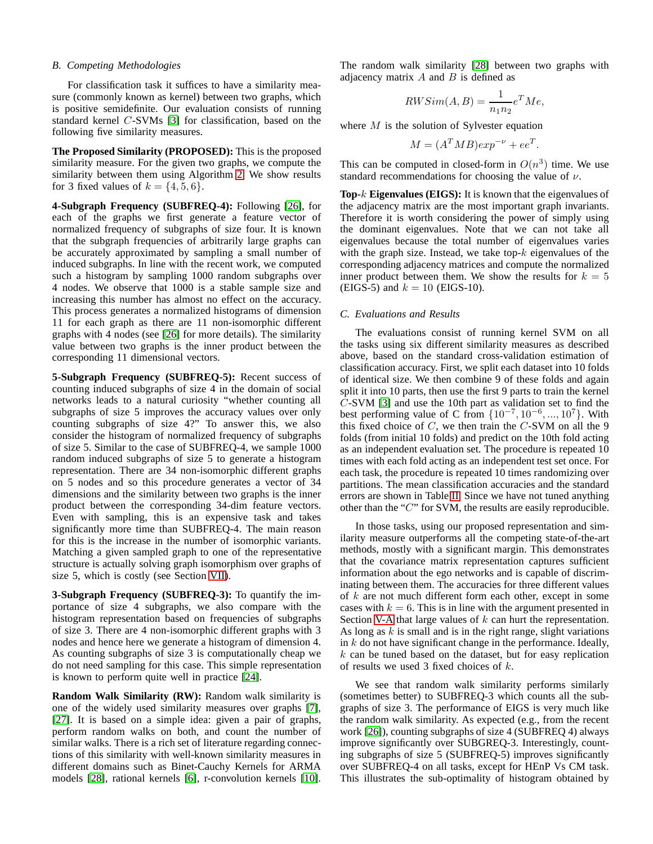#### <span id="page-7-1"></span>*B. Competing Methodologies*

For classification task it suffices to have a similarity measure (commonly known as kernel) between two graphs, which is positive semidefinite. Our evaluation consists of running standard kernel C-SVMs [\[3\]](#page-9-24) for classification, based on the following five similarity measures.

**The Proposed Similarity (PROPOSED):** This is the proposed similarity measure. For the given two graphs, we compute the similarity between them using Algorithm [2.](#page-5-0) We show results for 3 fixed values of  $k = \{4, 5, 6\}.$ 

**4-Subgraph Frequency (SUBFREQ-4):** Following [\[26\]](#page-9-1), for each of the graphs we first generate a feature vector of normalized frequency of subgraphs of size four. It is known that the subgraph frequencies of arbitrarily large graphs can be accurately approximated by sampling a small number of induced subgraphs. In line with the recent work, we computed such a histogram by sampling 1000 random subgraphs over 4 nodes. We observe that 1000 is a stable sample size and increasing this number has almost no effect on the accuracy. This process generates a normalized histograms of dimension 11 for each graph as there are 11 non-isomorphic different graphs with 4 nodes (see [\[26\]](#page-9-1) for more details). The similarity value between two graphs is the inner product between the corresponding 11 dimensional vectors.

**5-Subgraph Frequency (SUBFREQ-5):** Recent success of counting induced subgraphs of size 4 in the domain of social networks leads to a natural curiosity "whether counting all subgraphs of size 5 improves the accuracy values over only counting subgraphs of size 4?" To answer this, we also consider the histogram of normalized frequency of subgraphs of size 5. Similar to the case of SUBFREQ-4, we sample 1000 random induced subgraphs of size 5 to generate a histogram representation. There are 34 non-isomorphic different graphs on 5 nodes and so this procedure generates a vector of 34 dimensions and the similarity between two graphs is the inner product between the corresponding 34-dim feature vectors. Even with sampling, this is an expensive task and takes significantly more time than SUBFREQ-4. The main reason for this is the increase in the number of isomorphic variants. Matching a given sampled graph to one of the representative structure is actually solving graph isomorphism over graphs of size 5, which is costly (see Section [VII\)](#page-8-0).

**3-Subgraph Frequency (SUBFREQ-3):** To quantify the importance of size 4 subgraphs, we also compare with the histogram representation based on frequencies of subgraphs of size 3. There are 4 non-isomorphic different graphs with 3 nodes and hence here we generate a histogram of dimension 4. As counting subgraphs of size 3 is computationally cheap we do not need sampling for this case. This simple representation is known to perform quite well in practice [\[24\]](#page-9-12).

**Random Walk Similarity (RW):** Random walk similarity is one of the widely used similarity measures over graphs [\[7\]](#page-9-25), [\[27\]](#page-9-26). It is based on a simple idea: given a pair of graphs, perform random walks on both, and count the number of similar walks. There is a rich set of literature regarding connections of this similarity with well-known similarity measures in different domains such as Binet-Cauchy Kernels for ARMA models [\[28\]](#page-9-27), rational kernels [\[6\]](#page-9-28), r-convolution kernels [\[10\]](#page-9-29). The random walk similarity [\[28\]](#page-9-27) between two graphs with adjacency matrix  $A$  and  $B$  is defined as

$$
RWSim(A, B) = \frac{1}{n_1 n_2} e^T Me,
$$

where M is the solution of Sylvester equation

$$
M = (A^T M B) exp^{-\nu} + ee^T.
$$

This can be computed in closed-form in  $O(n^3)$  time. We use standard recommendations for choosing the value of  $\nu$ .

**Top-**k **Eigenvalues (EIGS):** It is known that the eigenvalues of the adjacency matrix are the most important graph invariants. Therefore it is worth considering the power of simply using the dominant eigenvalues. Note that we can not take all eigenvalues because the total number of eigenvalues varies with the graph size. Instead, we take top- $k$  eigenvalues of the corresponding adjacency matrices and compute the normalized inner product between them. We show the results for  $k = 5$ (EIGS-5) and  $k = 10$  (EIGS-10).

# <span id="page-7-0"></span>*C. Evaluations and Results*

The evaluations consist of running kernel SVM on all the tasks using six different similarity measures as described above, based on the standard cross-validation estimation of classification accuracy. First, we split each dataset into 10 folds of identical size. We then combine 9 of these folds and again split it into 10 parts, then use the first 9 parts to train the kernel C-SVM [\[3\]](#page-9-24) and use the 10th part as validation set to find the best performing value of C from  $\{10^{-7}, 10^{-6}, ..., 10^{7}\}$ . With this fixed choice of  $C$ , we then train the  $C$ -SVM on all the 9 folds (from initial 10 folds) and predict on the 10th fold acting as an independent evaluation set. The procedure is repeated 10 times with each fold acting as an independent test set once. For each task, the procedure is repeated 10 times randomizing over partitions. The mean classification accuracies and the standard errors are shown in Table [II.](#page-8-1) Since we have not tuned anything other than the "C" for SVM, the results are easily reproducible.

In those tasks, using our proposed representation and similarity measure outperforms all the competing state-of-the-art methods, mostly with a significant margin. This demonstrates that the covariance matrix representation captures sufficient information about the ego networks and is capable of discriminating between them. The accuracies for three different values of k are not much different form each other, except in some cases with  $k = 6$ . This is in line with the argument presented in Section [V-A](#page-5-3) that large values of  $k$  can hurt the representation. As long as  $k$  is small and is in the right range, slight variations in  $k$  do not have significant change in the performance. Ideally,  $k$  can be tuned based on the dataset, but for easy replication of results we used 3 fixed choices of k.

We see that random walk similarity performs similarly (sometimes better) to SUBFREQ-3 which counts all the subgraphs of size 3. The performance of EIGS is very much like the random walk similarity. As expected (e.g., from the recent work [\[26\]](#page-9-1)), counting subgraphs of size 4 (SUBFREQ 4) always improve significantly over SUBGREQ-3. Interestingly, counting subgraphs of size 5 (SUBFREQ-5) improves significantly over SUBFREQ-4 on all tasks, except for HEnP Vs CM task. This illustrates the sub-optimality of histogram obtained by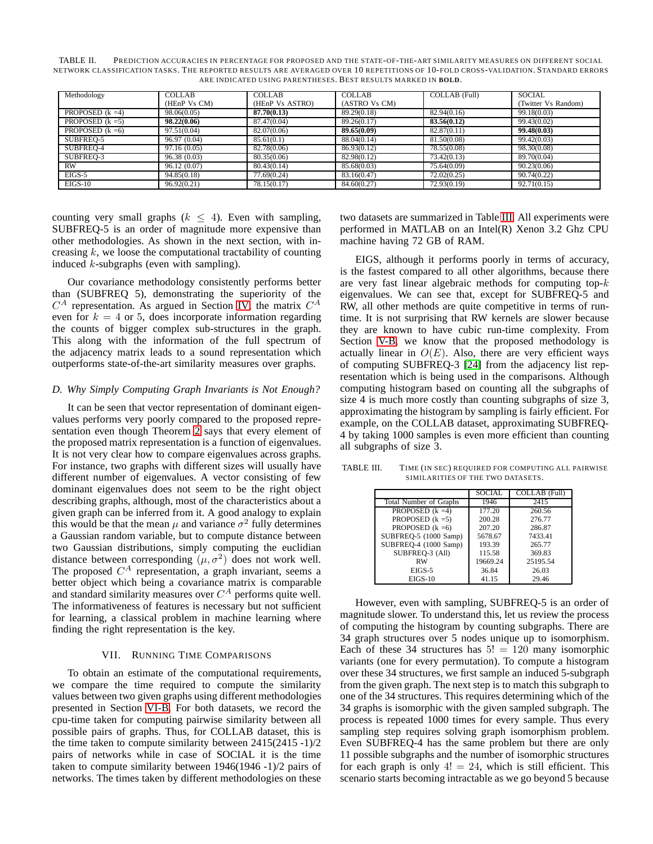<span id="page-8-1"></span>TABLE II. PREDICTION ACCURACIES IN PERCENTAGE FOR PROPOSED AND THE STATE-OF-THE-ART SIMILARITY MEASURES ON DIFFERENT SOCIAL NETWORK CLASSIFICATION TASKS. THE REPORTED RESULTS ARE AVERAGED OVER 10 REPETITIONS OF 10-FOLD CROSS-VALIDATION. STANDARD ERRORS ARE INDICATED USING PARENTHESES. BEST RESULTS MARKED IN **BOLD**.

| Methodology        | <b>COLLAB</b> | <b>COLLAB</b>   | <b>COLLAB</b> | COLLAB (Full) | <b>SOCIAL</b>       |
|--------------------|---------------|-----------------|---------------|---------------|---------------------|
|                    | (HEnP Vs CM)  | (HEnP Vs ASTRO) | (ASTRO Vs CM) |               | (Twitter Vs Random) |
| PROPOSED $(k = 4)$ | 98.06(0.05)   | 87.70(0.13)     | 89.29(0.18)   | 82.94(0.16)   | 99.18(0.03)         |
| PROPOSED $(k = 5)$ | 98.22(0.06)   | 87.47(0.04)     | 89.26(0.17)   | 83.56(0.12)   | 99.43(0.02)         |
| PROPOSED $(k = 6)$ | 97.51(0.04)   | 82.07(0.06)     | 89.65(0.09)   | 82,87(0,11)   | 99.48(0.03)         |
| SUBFREO-5          | 96.97 (0.04)  | 85.61(0.1)      | 88.04(0.14)   | 81.50(0.08)   | 99.42(0.03)         |
| SUBFREO-4          | 97.16(0.05)   | 82.78(0.06)     | 86.93(0.12)   | 78.55(0.08)   | 98.30(0.08)         |
| SUBFREQ-3          | 96.38(0.03)   | 80.35(0.06)     | 82.98(0.12)   | 73.42(0.13)   | 89.70(0.04)         |
| <b>RW</b>          | 96.12(0.07)   | 80.43(0.14)     | 85.68(0.03)   | 75.64(0.09)   | 90.23(0.06)         |
| $EIGS-5$           | 94.85(0.18)   | 77.69(0.24)     | 83.16(0.47)   | 72.02(0.25)   | 90.74(0.22)         |
| $EIGS-10$          | 96.92(0.21)   | 78.15(0.17)     | 84,60(0.27)   | 72.93(0.19)   | 92.71(0.15)         |

counting very small graphs ( $k \leq 4$ ). Even with sampling, SUBFREQ-5 is an order of magnitude more expensive than other methodologies. As shown in the next section, with increasing  $k$ , we loose the computational tractability of counting induced  $k$ -subgraphs (even with sampling).

Our covariance methodology consistently performs better than (SUBFREQ 5), demonstrating the superiority of the  $C^A$  representation. As argued in Section [IV,](#page-3-0) the matrix  $C^A$ even for  $k = 4$  or 5, does incorporate information regarding the counts of bigger complex sub-structures in the graph. This along with the information of the full spectrum of the adjacency matrix leads to a sound representation which outperforms state-of-the-art similarity measures over graphs.

#### *D. Why Simply Computing Graph Invariants is Not Enough?*

It can be seen that vector representation of dominant eigenvalues performs very poorly compared to the proposed representation even though Theorem [2](#page-3-2) says that every element of the proposed matrix representation is a function of eigenvalues. It is not very clear how to compare eigenvalues across graphs. For instance, two graphs with different sizes will usually have different number of eigenvalues. A vector consisting of few dominant eigenvalues does not seem to be the right object describing graphs, although, most of the characteristics about a given graph can be inferred from it. A good analogy to explain this would be that the mean  $\mu$  and variance  $\sigma^2$  fully determines a Gaussian random variable, but to compute distance between two Gaussian distributions, simply computing the euclidian distance between corresponding  $(\mu, \sigma^2)$  does not work well. The proposed  $C^A$  representation, a graph invariant, seems a better object which being a covariance matrix is comparable and standard similarity measures over  $C^A$  performs quite well. The informativeness of features is necessary but not sufficient for learning, a classical problem in machine learning where finding the right representation is the key.

# VII. RUNNING TIME COMPARISONS

<span id="page-8-0"></span>To obtain an estimate of the computational requirements, we compare the time required to compute the similarity values between two given graphs using different methodologies presented in Section [VI-B.](#page-7-1) For both datasets, we record the cpu-time taken for computing pairwise similarity between all possible pairs of graphs. Thus, for COLLAB dataset, this is the time taken to compute similarity between 2415(2415 -1)/2 pairs of networks while in case of SOCIAL it is the time taken to compute similarity between 1946(1946 -1)/2 pairs of networks. The times taken by different methodologies on these two datasets are summarized in Table [III.](#page-8-2) All experiments were performed in MATLAB on an Intel(R) Xenon 3.2 Ghz CPU machine having 72 GB of RAM.

EIGS, although it performs poorly in terms of accuracy, is the fastest compared to all other algorithms, because there are very fast linear algebraic methods for computing top- $k$ eigenvalues. We can see that, except for SUBFREQ-5 and RW, all other methods are quite competitive in terms of runtime. It is not surprising that RW kernels are slower because they are known to have cubic run-time complexity. From Section [V-B,](#page-5-4) we know that the proposed methodology is actually linear in  $O(E)$ . Also, there are very efficient ways of computing SUBFREQ-3 [\[24\]](#page-9-12) from the adjacency list representation which is being used in the comparisons. Although computing histogram based on counting all the subgraphs of size 4 is much more costly than counting subgraphs of size 3, approximating the histogram by sampling is fairly efficient. For example, on the COLLAB dataset, approximating SUBFREQ-4 by taking 1000 samples is even more efficient than counting all subgraphs of size 3.

TABLE III. TIME (IN SEC) REQUIRED FOR COMPUTING ALL PAIRWISE SIMILARITIES OF THE TWO DATASETS.

<span id="page-8-2"></span>

| <b>SOCIAL</b> | COLLAB (Full) |
|---------------|---------------|
| 1946          | 2415          |
| 177.20        | 260.56        |
| 200.28        | 276.77        |
| 207.20        | 286.87        |
| 5678.67       | 7433.41       |
| 193.39        | 265.77        |
| 115.58        | 369.83        |
| 19669.24      | 25195.54      |
| 36.84         | 26.03         |
| 41.15         | 29.46         |
|               |               |

However, even with sampling, SUBFREQ-5 is an order of magnitude slower. To understand this, let us review the process of computing the histogram by counting subgraphs. There are 34 graph structures over 5 nodes unique up to isomorphism. Each of these 34 structures has  $5! = 120$  many isomorphic variants (one for every permutation). To compute a histogram over these 34 structures, we first sample an induced 5-subgraph from the given graph. The next step is to match this subgraph to one of the 34 structures. This requires determining which of the 34 graphs is isomorphic with the given sampled subgraph. The process is repeated 1000 times for every sample. Thus every sampling step requires solving graph isomorphism problem. Even SUBFREQ-4 has the same problem but there are only 11 possible subgraphs and the number of isomorphic structures for each graph is only  $4! = 24$ , which is still efficient. This scenario starts becoming intractable as we go beyond 5 because